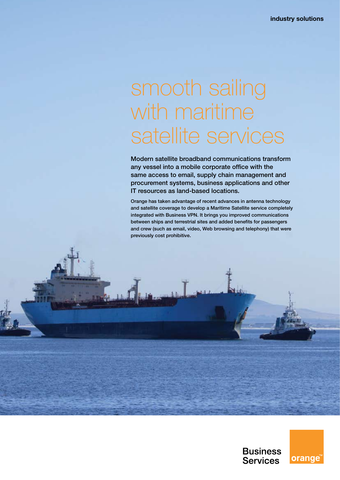# smooth sailing with maritime satellite services

Modern satellite broadband communications transform any vessel into a mobile corporate office with the same access to email, supply chain management and procurement systems, business applications and other IT resources as land-based locations.

Orange has taken advantage of recent advances in antenna technology and satellite coverage to develop a Maritime Satellite service completely integrated with Business VPN. It brings you improved communications between ships and terrestrial sites and added benefits for passengers and crew (such as email, video, Web browsing and telephony) that were previously cost prohibitive.

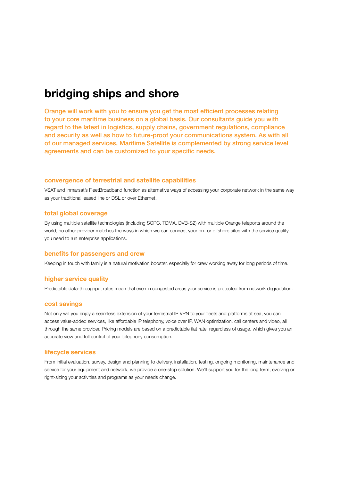## **bridging ships and shore**

Orange will work with you to ensure you get the most efficient processes relating to your core maritime business on a global basis. Our consultants guide you with regard to the latest in logistics, supply chains, government regulations, compliance and security as well as how to future-proof your communications system. As with all of our managed services, Maritime Satellite is complemented by strong service level agreements and can be customized to your specific needs.

#### **convergence of terrestrial and satellite capabilities**

VSAT and Inmarsat's FleetBroadband function as alternative ways of accessing your corporate network in the same way as your traditional leased line or DSL or over Ethernet.

#### **total global coverage**

By using multiple satellite technologies (including SCPC, TDMA, DVB-S2) with multiple Orange teleports around the world, no other provider matches the ways in which we can connect your on- or offshore sites with the service quality you need to run enterprise applications.

#### **benefits for passengers and crew**

Keeping in touch with family is a natural motivation booster, especially for crew working away for long periods of time.

#### **higher service quality**

Predictable data-throughput rates mean that even in congested areas your service is protected from network degradation.

#### **cost savings**

Not only will you enjoy a seamless extension of your terrestrial IP VPN to your fleets and platforms at sea, you can access value-added services, like affordable IP telephony, voice over IP, WAN optimization, call centers and video, all through the same provider. Pricing models are based on a predictable flat rate, regardless of usage, which gives you an accurate view and full control of your telephony consumption.

#### **lifecycle services**

From initial evaluation, survey, design and planning to delivery, installation, testing, ongoing monitoring, maintenance and service for your equipment and network, we provide a one-stop solution. We'll support you for the long term, evolving or right-sizing your activities and programs as your needs change.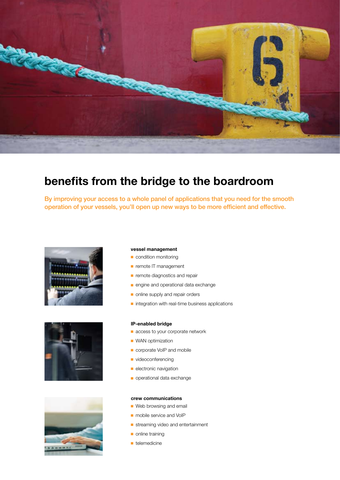

## **benefits from the bridge to the boardroom**

By improving your access to a whole panel of applications that you need for the smooth operation of your vessels, you'll open up new ways to be more efficient and effective.







#### **vessel management**

- condition monitoring
- **n** remote IT management
- **n** remote diagnostics and repair
- engine and operational data exchange
- n online supply and repair orders
- $\blacksquare$  integration with real-time business applications

#### **IP-enabled bridge**

- **n** access to your corporate network
- $\blacksquare$  WAN optimization
- **n** corporate VoIP and mobile
- videoconferencing
- $\blacksquare$  electronic navigation
- **n** operational data exchange

#### **crew communications**

- **Neb browsing and email**
- nobile service and VoIP
- streaming video and entertainment
- $\blacksquare$  online training
- $\blacksquare$  telemedicine